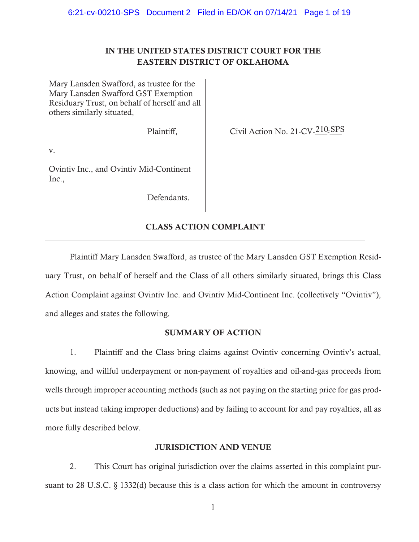## IN THE UNITED STATES DISTRICT COURT FOR THE EASTERN DISTRICT OF OKLAHOMA

Mary Lansden Swafford, as trustee for the Mary Lansden Swafford GST Exemption Residuary Trust, on behalf of herself and all others similarly situated,

Plaintiff,

Civil Action No. 21-CV-210-SPS

v.

Ovintiv Inc., and Ovintiv Mid-Continent Inc.,

Defendants.

# CLASS ACTION COMPLAINT

Plaintiff Mary Lansden Swafford, as trustee of the Mary Lansden GST Exemption Residuary Trust, on behalf of herself and the Class of all others similarly situated, brings this Class Action Complaint against Ovintiv Inc. and Ovintiv Mid-Continent Inc. (collectively "Ovintiv"), and alleges and states the following.

## SUMMARY OF ACTION

1. Plaintiff and the Class bring claims against Ovintiv concerning Ovintiv's actual, knowing, and willful underpayment or non-payment of royalties and oil-and-gas proceeds from wells through improper accounting methods (such as not paying on the starting price for gas products but instead taking improper deductions) and by failing to account for and pay royalties, all as more fully described below.

## JURISDICTION AND VENUE

2. This Court has original jurisdiction over the claims asserted in this complaint pursuant to 28 U.S.C. § 1332(d) because this is a class action for which the amount in controversy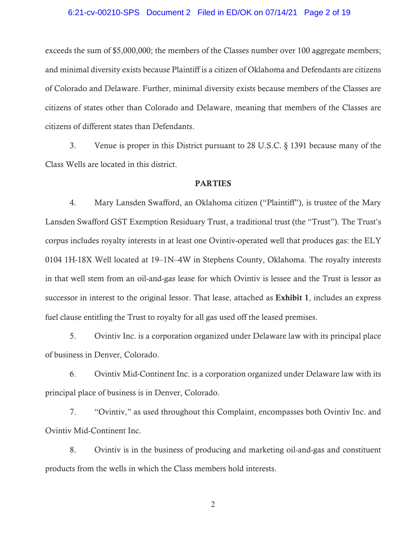#### 6:21-cv-00210-SPS Document 2 Filed in ED/OK on 07/14/21 Page 2 of 19

exceeds the sum of \$5,000,000; the members of the Classes number over 100 aggregate members; and minimal diversity exists because Plaintiff is a citizen of Oklahoma and Defendants are citizens of Colorado and Delaware. Further, minimal diversity exists because members of the Classes are citizens of states other than Colorado and Delaware, meaning that members of the Classes are citizens of different states than Defendants.

3. Venue is proper in this District pursuant to 28 U.S.C. § 1391 because many of the Class Wells are located in this district.

#### PARTIES

4. Mary Lansden Swafford, an Oklahoma citizen ("Plaintiff"), is trustee of the Mary Lansden Swafford GST Exemption Residuary Trust, a traditional trust (the "Trust"). The Trust's corpus includes royalty interests in at least one Ovintiv-operated well that produces gas: the ELY 0104 1H-18X Well located at 19–1N–4W in Stephens County, Oklahoma. The royalty interests in that well stem from an oil-and-gas lease for which Ovintiv is lessee and the Trust is lessor as successor in interest to the original lessor. That lease, attached as **Exhibit 1**, includes an express fuel clause entitling the Trust to royalty for all gas used off the leased premises.

5. Ovintiv Inc. is a corporation organized under Delaware law with its principal place of business in Denver, Colorado.

6. Ovintiv Mid-Continent Inc. is a corporation organized under Delaware law with its principal place of business is in Denver, Colorado.

7. "Ovintiv," as used throughout this Complaint, encompasses both Ovintiv Inc. and Ovintiv Mid-Continent Inc.

8. Ovintiv is in the business of producing and marketing oil-and-gas and constituent products from the wells in which the Class members hold interests.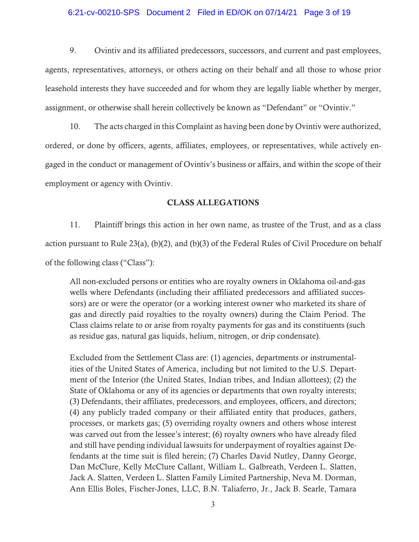#### 6:21-cv-00210-SPS Document 2 Filed in ED/OK on 07/14/21 Page 3 of 19

9. Ovintiv and its affiliated predecessors, successors, and current and past employees, agents, representatives, attorneys, or others acting on their behalf and all those to whose prior leasehold interests they have succeeded and for whom they are legally liable whether by merger, assignment, or otherwise shall herein collectively be known as "Defendant" or "Ovintiv."

10. The acts charged in this Complaint as having been done by Ovintiv were authorized, ordered, or done by officers, agents, affiliates, employees, or representatives, while actively engaged in the conduct or management of Ovintiv's business or affairs, and within the scope of their employment or agency with Ovintiv.

#### CLASS ALLEGATIONS

11. Plaintiff brings this action in her own name, as trustee of the Trust, and as a class action pursuant to Rule 23(a), (b)(2), and (b)(3) of the Federal Rules of Civil Procedure on behalf of the following class ("Class"):

All non-excluded persons or entities who are royalty owners in Oklahoma oil-and-gas wells where Defendants (including their affiliated predecessors and affiliated successors) are or were the operator (or a working interest owner who marketed its share of gas and directly paid royalties to the royalty owners) during the Claim Period. The Class claims relate to or arise from royalty payments for gas and its constituents (such as residue gas, natural gas liquids, helium, nitrogen, or drip condensate).

Excluded from the Settlement Class are: (1) agencies, departments or instrumentalities of the United States of America, including but not limited to the U.S. Department of the Interior (the United States, Indian tribes, and Indian allottees); (2) the State of Oklahoma or any of its agencies or departments that own royalty interests; (3) Defendants, their affiliates, predecessors, and employees, officers, and directors; (4) any publicly traded company or their affiliated entity that produces, gathers, processes, or markets gas; (5) overriding royalty owners and others whose interest was carved out from the lessee's interest; (6) royalty owners who have already filed and still have pending individual lawsuits for underpayment of royalties against Defendants at the time suit is filed herein; (7) Charles David Nutley, Danny George, Dan McClure, Kelly McClure Callant, William L. Galbreath, Verdeen L. Slatten, Jack A. Slatten, Verdeen L. Slatten Family Limited Partnership, Neva M. Dorman, Ann Ellis Boles, Fischer-Jones, LLC, B.N. Taliaferro, Jr., Jack B. Searle, Tamara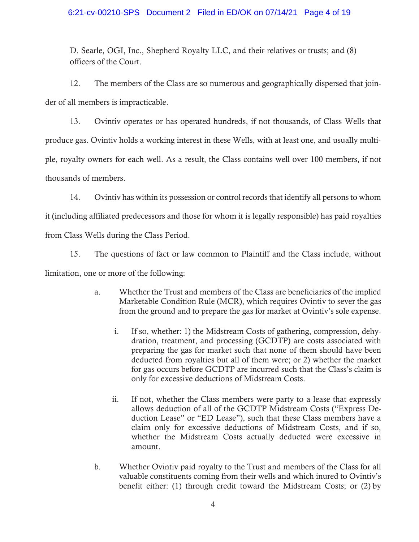## 6:21-cv-00210-SPS Document 2 Filed in ED/OK on 07/14/21 Page 4 of 19

D. Searle, OGI, Inc., Shepherd Royalty LLC, and their relatives or trusts; and (8) officers of the Court.

12. The members of the Class are so numerous and geographically dispersed that joinder of all members is impracticable.

13. Ovintiv operates or has operated hundreds, if not thousands, of Class Wells that produce gas. Ovintiv holds a working interest in these Wells, with at least one, and usually multiple, royalty owners for each well. As a result, the Class contains well over 100 members, if not thousands of members.

14. Ovintiv has within its possession or control records that identify all persons to whom

it (including affiliated predecessors and those for whom it is legally responsible) has paid royalties

from Class Wells during the Class Period.

15. The questions of fact or law common to Plaintiff and the Class include, without

limitation, one or more of the following:

- a. Whether the Trust and members of the Class are beneficiaries of the implied Marketable Condition Rule (MCR), which requires Ovintiv to sever the gas from the ground and to prepare the gas for market at Ovintiv's sole expense.
	- i. If so, whether: 1) the Midstream Costs of gathering, compression, dehydration, treatment, and processing (GCDTP) are costs associated with preparing the gas for market such that none of them should have been deducted from royalties but all of them were; or 2) whether the market for gas occurs before GCDTP are incurred such that the Class's claim is only for excessive deductions of Midstream Costs.
	- ii. If not, whether the Class members were party to a lease that expressly allows deduction of all of the GCDTP Midstream Costs ("Express Deduction Lease" or "ED Lease"), such that these Class members have a claim only for excessive deductions of Midstream Costs, and if so, whether the Midstream Costs actually deducted were excessive in amount.
- b. Whether Ovintiv paid royalty to the Trust and members of the Class for all valuable constituents coming from their wells and which inured to Ovintiv's benefit either: (1) through credit toward the Midstream Costs; or (2) by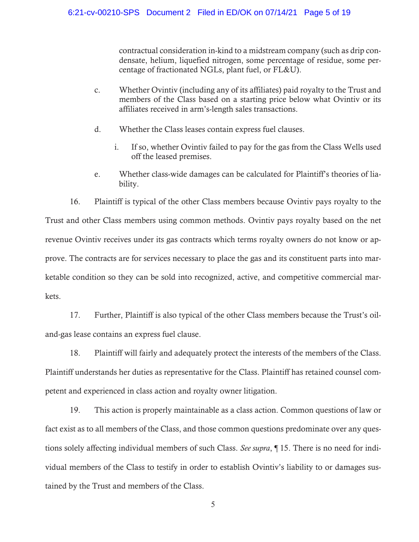contractual consideration in-kind to a midstream company (such as drip condensate, helium, liquefied nitrogen, some percentage of residue, some percentage of fractionated NGLs, plant fuel, or FL&U).

- c. Whether Ovintiv (including any of its affiliates) paid royalty to the Trust and members of the Class based on a starting price below what Ovintiv or its affiliates received in arm's-length sales transactions.
- d. Whether the Class leases contain express fuel clauses.
	- i. If so, whether Ovintiv failed to pay for the gas from the Class Wells used off the leased premises.
- e. Whether class-wide damages can be calculated for Plaintiff's theories of liability.

16. Plaintiff is typical of the other Class members because Ovintiv pays royalty to the Trust and other Class members using common methods. Ovintiv pays royalty based on the net revenue Ovintiv receives under its gas contracts which terms royalty owners do not know or approve. The contracts are for services necessary to place the gas and its constituent parts into marketable condition so they can be sold into recognized, active, and competitive commercial markets.

17. Further, Plaintiff is also typical of the other Class members because the Trust's oiland-gas lease contains an express fuel clause.

18. Plaintiff will fairly and adequately protect the interests of the members of the Class. Plaintiff understands her duties as representative for the Class. Plaintiff has retained counsel competent and experienced in class action and royalty owner litigation.

19. This action is properly maintainable as a class action. Common questions of law or fact exist as to all members of the Class, and those common questions predominate over any questions solely affecting individual members of such Class. *See supra*, *¶* 15. There is no need for individual members of the Class to testify in order to establish Ovintiv's liability to or damages sustained by the Trust and members of the Class.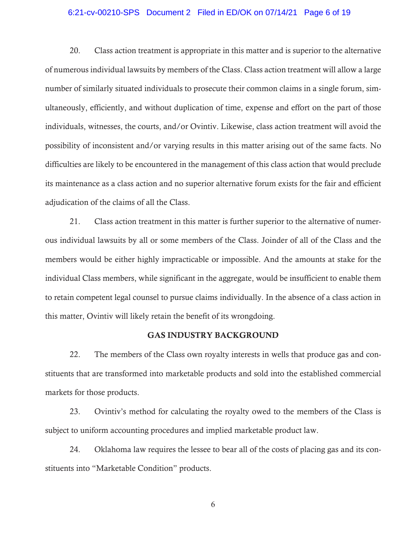#### 6:21-cv-00210-SPS Document 2 Filed in ED/OK on 07/14/21 Page 6 of 19

20. Class action treatment is appropriate in this matter and is superior to the alternative of numerous individual lawsuits by members of the Class. Class action treatment will allow a large number of similarly situated individuals to prosecute their common claims in a single forum, simultaneously, efficiently, and without duplication of time, expense and effort on the part of those individuals, witnesses, the courts, and/or Ovintiv. Likewise, class action treatment will avoid the possibility of inconsistent and/or varying results in this matter arising out of the same facts. No difficulties are likely to be encountered in the management of this class action that would preclude its maintenance as a class action and no superior alternative forum exists for the fair and efficient adjudication of the claims of all the Class.

21. Class action treatment in this matter is further superior to the alternative of numerous individual lawsuits by all or some members of the Class. Joinder of all of the Class and the members would be either highly impracticable or impossible. And the amounts at stake for the individual Class members, while significant in the aggregate, would be insufficient to enable them to retain competent legal counsel to pursue claims individually. In the absence of a class action in this matter, Ovintiv will likely retain the benefit of its wrongdoing.

## GAS INDUSTRY BACKGROUND

22. The members of the Class own royalty interests in wells that produce gas and constituents that are transformed into marketable products and sold into the established commercial markets for those products.

23. Ovintiv's method for calculating the royalty owed to the members of the Class is subject to uniform accounting procedures and implied marketable product law.

24. Oklahoma law requires the lessee to bear all of the costs of placing gas and its constituents into "Marketable Condition" products.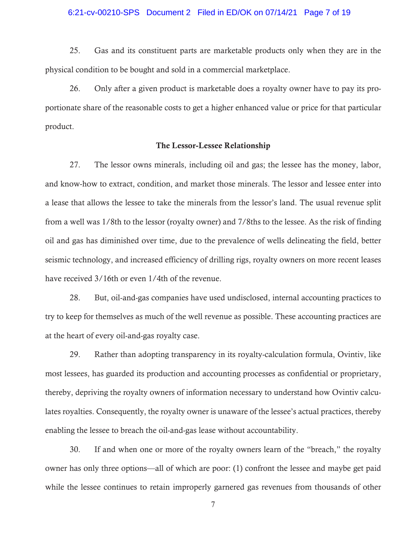#### 6:21-cv-00210-SPS Document 2 Filed in ED/OK on 07/14/21 Page 7 of 19

25. Gas and its constituent parts are marketable products only when they are in the physical condition to be bought and sold in a commercial marketplace.

26. Only after a given product is marketable does a royalty owner have to pay its proportionate share of the reasonable costs to get a higher enhanced value or price for that particular product.

#### The Lessor-Lessee Relationship

27. The lessor owns minerals, including oil and gas; the lessee has the money, labor, and know-how to extract, condition, and market those minerals. The lessor and lessee enter into a lease that allows the lessee to take the minerals from the lessor's land. The usual revenue split from a well was 1/8th to the lessor (royalty owner) and 7/8ths to the lessee. As the risk of finding oil and gas has diminished over time, due to the prevalence of wells delineating the field, better seismic technology, and increased efficiency of drilling rigs, royalty owners on more recent leases have received 3/16th or even 1/4th of the revenue.

28. But, oil-and-gas companies have used undisclosed, internal accounting practices to try to keep for themselves as much of the well revenue as possible. These accounting practices are at the heart of every oil-and-gas royalty case.

29. Rather than adopting transparency in its royalty-calculation formula, Ovintiv, like most lessees, has guarded its production and accounting processes as confidential or proprietary, thereby, depriving the royalty owners of information necessary to understand how Ovintiv calculates royalties. Consequently, the royalty owner is unaware of the lessee's actual practices, thereby enabling the lessee to breach the oil-and-gas lease without accountability.

30. If and when one or more of the royalty owners learn of the "breach," the royalty owner has only three options—all of which are poor: (1) confront the lessee and maybe get paid while the lessee continues to retain improperly garnered gas revenues from thousands of other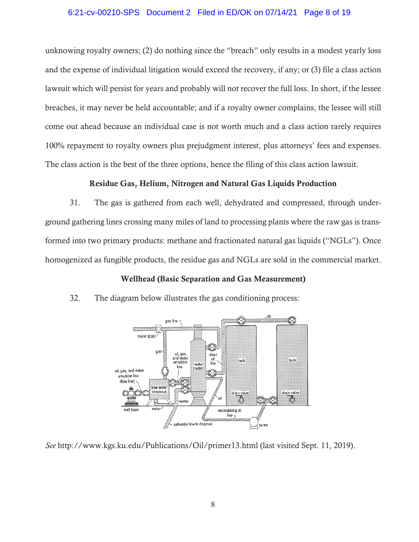## 6:21-cv-00210-SPS Document 2 Filed in ED/OK on 07/14/21 Page 8 of 19

unknowing royalty owners; (2) do nothing since the "breach" only results in a modest yearly loss and the expense of individual litigation would exceed the recovery, if any; or (3) file a class action lawsuit which will persist for years and probably will not recover the full loss. In short, if the lessee breaches, it may never be held accountable; and if a royalty owner complains, the lessee will still come out ahead because an individual case is not worth much and a class action rarely requires 100% repayment to royalty owners plus prejudgment interest, plus attorneys' fees and expenses. The class action is the best of the three options, hence the filing of this class action lawsuit.

## Residue Gas, Helium, Nitrogen and Natural Gas Liquids Production

31. The gas is gathered from each well, dehydrated and compressed, through underground gathering lines crossing many miles of land to processing plants where the raw gas is transformed into two primary products: methane and fractionated natural gas liquids ("NGLs"). Once homogenized as fungible products, the residue gas and NGLs are sold in the commercial market.

## Wellhead (Basic Separation and Gas Measurement)



32. The diagram below illustrates the gas conditioning process:

*See* http://www.kgs.ku.edu/Publications/Oil/primer13.html (last visited Sept. 11, 2019).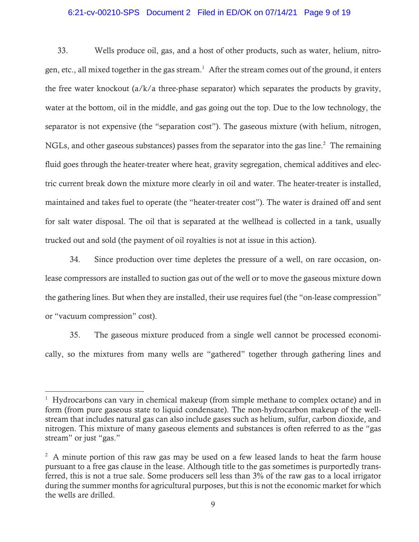#### 6:21-cv-00210-SPS Document 2 Filed in ED/OK on 07/14/21 Page 9 of 19

33. Wells produce oil, gas, and a host of other products, such as water, helium, nitrogen, etc., all mixed together in the gas stream.<sup>1</sup> After the stream comes out of the ground, it enters the free water knockout (a/k/a three-phase separator) which separates the products by gravity, water at the bottom, oil in the middle, and gas going out the top. Due to the low technology, the separator is not expensive (the "separation cost"). The gaseous mixture (with helium, nitrogen, NGLs, and other gaseous substances) passes from the separator into the gas line.<sup>2</sup> The remaining fluid goes through the heater-treater where heat, gravity segregation, chemical additives and electric current break down the mixture more clearly in oil and water. The heater-treater is installed, maintained and takes fuel to operate (the "heater-treater cost"). The water is drained off and sent for salt water disposal. The oil that is separated at the wellhead is collected in a tank, usually trucked out and sold (the payment of oil royalties is not at issue in this action).

34. Since production over time depletes the pressure of a well, on rare occasion, onlease compressors are installed to suction gas out of the well or to move the gaseous mixture down the gathering lines. But when they are installed, their use requires fuel (the "on-lease compression" or "vacuum compression" cost).

35. The gaseous mixture produced from a single well cannot be processed economically, so the mixtures from many wells are "gathered" together through gathering lines and

<sup>&</sup>lt;sup>1</sup> Hydrocarbons can vary in chemical makeup (from simple methane to complex octane) and in form (from pure gaseous state to liquid condensate). The non-hydrocarbon makeup of the wellstream that includes natural gas can also include gases such as helium, sulfur, carbon dioxide, and nitrogen. This mixture of many gaseous elements and substances is often referred to as the "gas stream" or just "gas."

 $2^2$  A minute portion of this raw gas may be used on a few leased lands to heat the farm house pursuant to a free gas clause in the lease. Although title to the gas sometimes is purportedly transferred, this is not a true sale. Some producers sell less than 3% of the raw gas to a local irrigator during the summer months for agricultural purposes, but this is not the economic market for which the wells are drilled.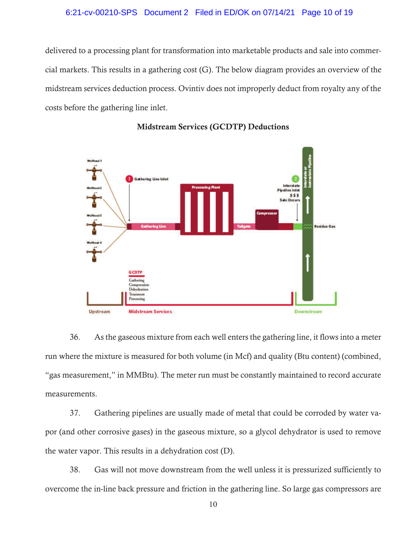#### 6:21-cv-00210-SPS Document 2 Filed in ED/OK on 07/14/21 Page 10 of 19

delivered to a processing plant for transformation into marketable products and sale into commercial markets. This results in a gathering cost (G). The below diagram provides an overview of the midstream services deduction process. Ovintiv does not improperly deduct from royalty any of the costs before the gathering line inlet.



#### Midstream Services (GCDTP) Deductions

36. As the gaseous mixture from each well enters the gathering line, it flows into a meter run where the mixture is measured for both volume (in Mcf) and quality (Btu content) (combined, "gas measurement," in MMBtu). The meter run must be constantly maintained to record accurate measurements.

37. Gathering pipelines are usually made of metal that could be corroded by water vapor (and other corrosive gases) in the gaseous mixture, so a glycol dehydrator is used to remove the water vapor. This results in a dehydration cost (D).

38. Gas will not move downstream from the well unless it is pressurized sufficiently to overcome the in-line back pressure and friction in the gathering line. So large gas compressors are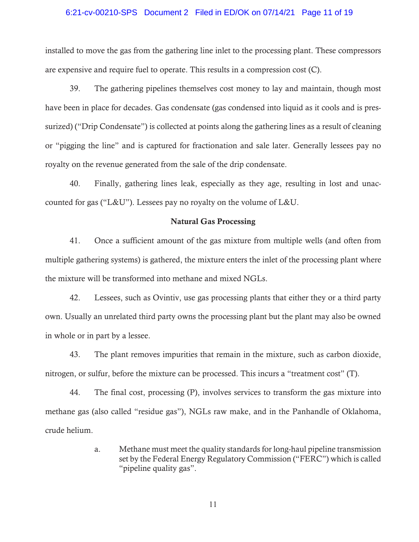#### 6:21-cv-00210-SPS Document 2 Filed in ED/OK on 07/14/21 Page 11 of 19

installed to move the gas from the gathering line inlet to the processing plant. These compressors are expensive and require fuel to operate. This results in a compression cost (C).

39. The gathering pipelines themselves cost money to lay and maintain, though most have been in place for decades. Gas condensate (gas condensed into liquid as it cools and is pressurized) ("Drip Condensate") is collected at points along the gathering lines as a result of cleaning or "pigging the line" and is captured for fractionation and sale later. Generally lessees pay no royalty on the revenue generated from the sale of the drip condensate.

40. Finally, gathering lines leak, especially as they age, resulting in lost and unaccounted for gas ("L&U"). Lessees pay no royalty on the volume of L&U.

### Natural Gas Processing

41. Once a sufficient amount of the gas mixture from multiple wells (and often from multiple gathering systems) is gathered, the mixture enters the inlet of the processing plant where the mixture will be transformed into methane and mixed NGLs.

42. Lessees, such as Ovintiv, use gas processing plants that either they or a third party own. Usually an unrelated third party owns the processing plant but the plant may also be owned in whole or in part by a lessee.

43. The plant removes impurities that remain in the mixture, such as carbon dioxide, nitrogen, or sulfur, before the mixture can be processed. This incurs a "treatment cost" (T).

44. The final cost, processing (P), involves services to transform the gas mixture into methane gas (also called "residue gas"), NGLs raw make, and in the Panhandle of Oklahoma, crude helium.

> a. Methane must meet the quality standards for long-haul pipeline transmission set by the Federal Energy Regulatory Commission ("FERC") which is called "pipeline quality gas".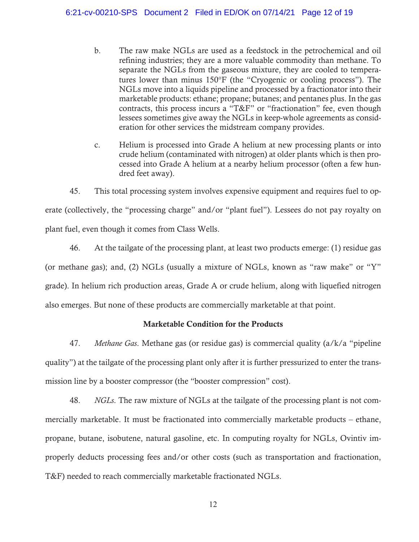b. The raw make NGLs are used as a feedstock in the petrochemical and oil refining industries; they are a more valuable commodity than methane. To separate the NGLs from the gaseous mixture, they are cooled to temperatures lower than minus  $150^{\circ}$ F (the "Cryogenic or cooling process"). The NGLs move into a liquids pipeline and processed by a fractionator into their marketable products: ethane; propane; butanes; and pentanes plus. In the gas contracts, this process incurs a "T&F" or "fractionation" fee, even though lessees sometimes give away the NGLs in keep-whole agreements as consideration for other services the midstream company provides.

c. Helium is processed into Grade A helium at new processing plants or into crude helium (contaminated with nitrogen) at older plants which is then processed into Grade A helium at a nearby helium processor (often a few hundred feet away).

45. This total processing system involves expensive equipment and requires fuel to operate (collectively, the "processing charge" and/or "plant fuel"). Lessees do not pay royalty on plant fuel, even though it comes from Class Wells.

46. At the tailgate of the processing plant, at least two products emerge: (1) residue gas (or methane gas); and, (2) NGLs (usually a mixture of NGLs, known as "raw make" or "Y" grade). In helium rich production areas, Grade A or crude helium, along with liquefied nitrogen also emerges. But none of these products are commercially marketable at that point.

## Marketable Condition for the Products

47. *Methane Gas*. Methane gas (or residue gas) is commercial quality (a/k/a "pipeline quality") at the tailgate of the processing plant only after it is further pressurized to enter the transmission line by a booster compressor (the "booster compression" cost).

48. *NGLs*. The raw mixture of NGLs at the tailgate of the processing plant is not commercially marketable. It must be fractionated into commercially marketable products – ethane, propane, butane, isobutene, natural gasoline, etc. In computing royalty for NGLs, Ovintiv improperly deducts processing fees and/or other costs (such as transportation and fractionation, T&F) needed to reach commercially marketable fractionated NGLs.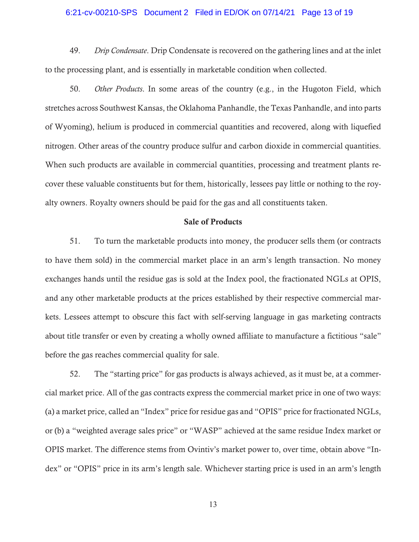### 6:21-cv-00210-SPS Document 2 Filed in ED/OK on 07/14/21 Page 13 of 19

49. *Drip Condensate*. Drip Condensate is recovered on the gathering lines and at the inlet to the processing plant, and is essentially in marketable condition when collected.

50. *Other Products*. In some areas of the country (e.g., in the Hugoton Field, which stretches across Southwest Kansas, the Oklahoma Panhandle, the Texas Panhandle, and into parts of Wyoming), helium is produced in commercial quantities and recovered, along with liquefied nitrogen. Other areas of the country produce sulfur and carbon dioxide in commercial quantities. When such products are available in commercial quantities, processing and treatment plants recover these valuable constituents but for them, historically, lessees pay little or nothing to the royalty owners. Royalty owners should be paid for the gas and all constituents taken.

## Sale of Products

51. To turn the marketable products into money, the producer sells them (or contracts to have them sold) in the commercial market place in an arm's length transaction. No money exchanges hands until the residue gas is sold at the Index pool, the fractionated NGLs at OPIS, and any other marketable products at the prices established by their respective commercial markets. Lessees attempt to obscure this fact with self-serving language in gas marketing contracts about title transfer or even by creating a wholly owned affiliate to manufacture a fictitious "sale" before the gas reaches commercial quality for sale.

52. The "starting price" for gas products is always achieved, as it must be, at a commercial market price. All of the gas contracts express the commercial market price in one of two ways: (a) a market price, called an "Index" price for residue gas and "OPIS" price for fractionated NGLs, or (b) a "weighted average sales price" or "WASP" achieved at the same residue Index market or OPIS market. The difference stems from Ovintiv's market power to, over time, obtain above "Index" or "OPIS" price in its arm's length sale. Whichever starting price is used in an arm's length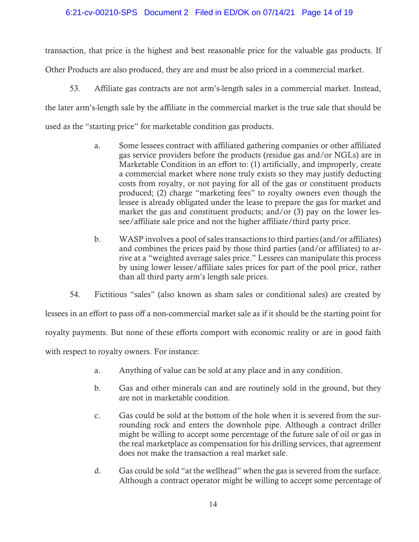## 6:21-cv-00210-SPS Document 2 Filed in ED/OK on 07/14/21 Page 14 of 19

transaction, that price is the highest and best reasonable price for the valuable gas products. If Other Products are also produced, they are and must be also priced in a commercial market.

53. Affiliate gas contracts are not arm's-length sales in a commercial market. Instead, the later arm's-length sale by the affiliate in the commercial market is the true sale that should be used as the "starting price" for marketable condition gas products.

- a. Some lessees contract with affiliated gathering companies or other affiliated gas service providers before the products (residue gas and/or NGLs) are in Marketable Condition in an effort to: (1) artificially, and improperly, create a commercial market where none truly exists so they may justify deducting costs from royalty, or not paying for all of the gas or constituent products produced; (2) charge "marketing fees" to royalty owners even though the lessee is already obligated under the lease to prepare the gas for market and market the gas and constituent products; and/or (3) pay on the lower lessee/affiliate sale price and not the higher affiliate/third party price.
- b. WASP involves a pool of sales transactions to third parties (and/or affiliates) and combines the prices paid by those third parties (and/or affiliates) to arrive at a "weighted average sales price." Lessees can manipulate this process by using lower lessee/affiliate sales prices for part of the pool price, rather than all third party arm's length sale prices.

54. Fictitious "sales" (also known as sham sales or conditional sales) are created by

lessees in an effort to pass off a non-commercial market sale as if it should be the starting point for

royalty payments. But none of these efforts comport with economic reality or are in good faith

with respect to royalty owners. For instance:

- a. Anything of value can be sold at any place and in any condition.
- b. Gas and other minerals can and are routinely sold in the ground, but they are not in marketable condition.
- c. Gas could be sold at the bottom of the hole when it is severed from the surrounding rock and enters the downhole pipe. Although a contract driller might be willing to accept some percentage of the future sale of oil or gas in the real marketplace as compensation for his drilling services, that agreement does not make the transaction a real market sale.
- d. Gas could be sold "at the wellhead" when the gas is severed from the surface. Although a contract operator might be willing to accept some percentage of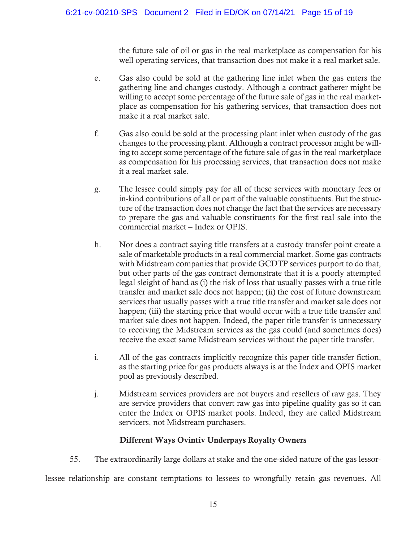the future sale of oil or gas in the real marketplace as compensation for his well operating services, that transaction does not make it a real market sale.

- e. Gas also could be sold at the gathering line inlet when the gas enters the gathering line and changes custody. Although a contract gatherer might be willing to accept some percentage of the future sale of gas in the real marketplace as compensation for his gathering services, that transaction does not make it a real market sale.
- f. Gas also could be sold at the processing plant inlet when custody of the gas changes to the processing plant. Although a contract processor might be willing to accept some percentage of the future sale of gas in the real marketplace as compensation for his processing services, that transaction does not make it a real market sale.
- g. The lessee could simply pay for all of these services with monetary fees or in-kind contributions of all or part of the valuable constituents. But the structure of the transaction does not change the fact that the services are necessary to prepare the gas and valuable constituents for the first real sale into the commercial market – Index or OPIS.
- h. Nor does a contract saying title transfers at a custody transfer point create a sale of marketable products in a real commercial market. Some gas contracts with Midstream companies that provide GCDTP services purport to do that, but other parts of the gas contract demonstrate that it is a poorly attempted legal sleight of hand as (i) the risk of loss that usually passes with a true title transfer and market sale does not happen; (ii) the cost of future downstream services that usually passes with a true title transfer and market sale does not happen; (iii) the starting price that would occur with a true title transfer and market sale does not happen. Indeed, the paper title transfer is unnecessary to receiving the Midstream services as the gas could (and sometimes does) receive the exact same Midstream services without the paper title transfer.
- i. All of the gas contracts implicitly recognize this paper title transfer fiction, as the starting price for gas products always is at the Index and OPIS market pool as previously described.
- j. Midstream services providers are not buyers and resellers of raw gas. They are service providers that convert raw gas into pipeline quality gas so it can enter the Index or OPIS market pools. Indeed, they are called Midstream servicers, not Midstream purchasers.

## Different Ways Ovintiv Underpays Royalty Owners

55. The extraordinarily large dollars at stake and the one-sided nature of the gas lessor-

lessee relationship are constant temptations to lessees to wrongfully retain gas revenues. All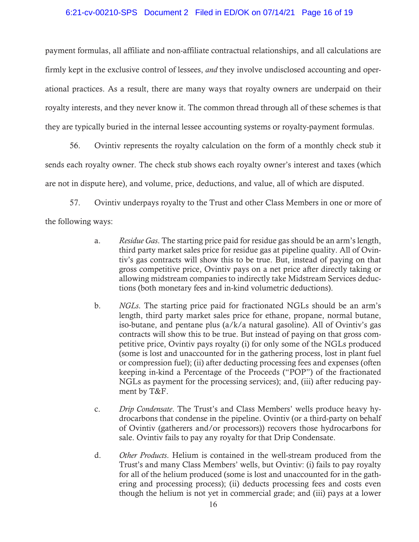#### 6:21-cv-00210-SPS Document 2 Filed in ED/OK on 07/14/21 Page 16 of 19

payment formulas, all affiliate and non-affiliate contractual relationships, and all calculations are firmly kept in the exclusive control of lessees, *and* they involve undisclosed accounting and operational practices. As a result, there are many ways that royalty owners are underpaid on their royalty interests, and they never know it. The common thread through all of these schemes is that they are typically buried in the internal lessee accounting systems or royalty-payment formulas.

56. Ovintiv represents the royalty calculation on the form of a monthly check stub it sends each royalty owner. The check stub shows each royalty owner's interest and taxes (which are not in dispute here), and volume, price, deductions, and value, all of which are disputed.

57. Ovintiv underpays royalty to the Trust and other Class Members in one or more of the following ways:

- a. *Residue Gas*. The starting price paid for residue gas should be an arm's length, third party market sales price for residue gas at pipeline quality. All of Ovintiv's gas contracts will show this to be true. But, instead of paying on that gross competitive price, Ovintiv pays on a net price after directly taking or allowing midstream companies to indirectly take Midstream Services deductions (both monetary fees and in-kind volumetric deductions).
- b. *NGLs*. The starting price paid for fractionated NGLs should be an arm's length, third party market sales price for ethane, propane, normal butane, iso-butane, and pentane plus (a/k/a natural gasoline). All of Ovintiv's gas contracts will show this to be true. But instead of paying on that gross competitive price, Ovintiv pays royalty (i) for only some of the NGLs produced (some is lost and unaccounted for in the gathering process, lost in plant fuel or compression fuel); (ii) after deducting processing fees and expenses (often keeping in-kind a Percentage of the Proceeds ("POP") of the fractionated NGLs as payment for the processing services); and, (iii) after reducing payment by T&F.
- c. *Drip Condensate*. The Trust's and Class Members' wells produce heavy hydrocarbons that condense in the pipeline. Ovintiv (or a third-party on behalf of Ovintiv (gatherers and/or processors)) recovers those hydrocarbons for sale. Ovintiv fails to pay any royalty for that Drip Condensate.
- d. *Other Products*. Helium is contained in the well-stream produced from the Trust's and many Class Members' wells, but Ovintiv: (i) fails to pay royalty for all of the helium produced (some is lost and unaccounted for in the gathering and processing process); (ii) deducts processing fees and costs even though the helium is not yet in commercial grade; and (iii) pays at a lower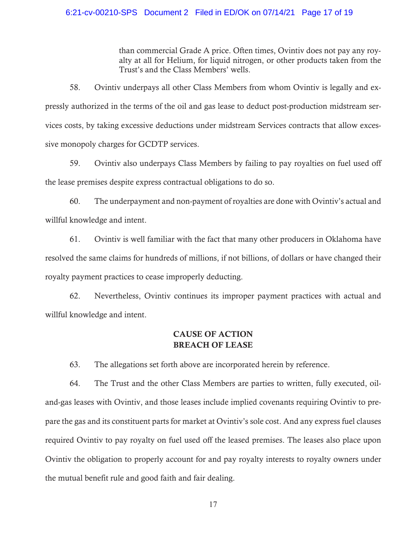#### 6:21-cv-00210-SPS Document 2 Filed in ED/OK on 07/14/21 Page 17 of 19

than commercial Grade A price. Often times, Ovintiv does not pay any royalty at all for Helium, for liquid nitrogen, or other products taken from the Trust's and the Class Members' wells.

58. Ovintiv underpays all other Class Members from whom Ovintiv is legally and expressly authorized in the terms of the oil and gas lease to deduct post-production midstream services costs, by taking excessive deductions under midstream Services contracts that allow excessive monopoly charges for GCDTP services.

59. Ovintiv also underpays Class Members by failing to pay royalties on fuel used off the lease premises despite express contractual obligations to do so.

60. The underpayment and non-payment of royalties are done with Ovintiv's actual and willful knowledge and intent.

61. Ovintiv is well familiar with the fact that many other producers in Oklahoma have resolved the same claims for hundreds of millions, if not billions, of dollars or have changed their royalty payment practices to cease improperly deducting.

62. Nevertheless, Ovintiv continues its improper payment practices with actual and willful knowledge and intent.

# CAUSE OF ACTION BREACH OF LEASE

63. The allegations set forth above are incorporated herein by reference.

64. The Trust and the other Class Members are parties to written, fully executed, oiland-gas leases with Ovintiv, and those leases include implied covenants requiring Ovintiv to prepare the gas and its constituent parts for market at Ovintiv's sole cost. And any express fuel clauses required Ovintiv to pay royalty on fuel used off the leased premises. The leases also place upon Ovintiv the obligation to properly account for and pay royalty interests to royalty owners under the mutual benefit rule and good faith and fair dealing.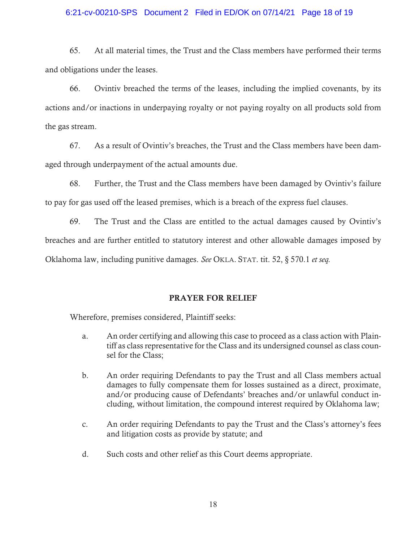#### 6:21-cv-00210-SPS Document 2 Filed in ED/OK on 07/14/21 Page 18 of 19

65. At all material times, the Trust and the Class members have performed their terms and obligations under the leases.

66. Ovintiv breached the terms of the leases, including the implied covenants, by its actions and/or inactions in underpaying royalty or not paying royalty on all products sold from the gas stream.

67. As a result of Ovintiv's breaches, the Trust and the Class members have been damaged through underpayment of the actual amounts due.

68. Further, the Trust and the Class members have been damaged by Ovintiv's failure to pay for gas used off the leased premises, which is a breach of the express fuel clauses.

69. The Trust and the Class are entitled to the actual damages caused by Ovintiv's breaches and are further entitled to statutory interest and other allowable damages imposed by Oklahoma law, including punitive damages. *See* OKLA. STAT. tit. 52, § 570.1 *et seq.*

## PRAYER FOR RELIEF

Wherefore, premises considered, Plaintiff seeks:

- a. An order certifying and allowing this case to proceed as a class action with Plaintiff as class representative for the Class and its undersigned counsel as class counsel for the Class;
- b. An order requiring Defendants to pay the Trust and all Class members actual damages to fully compensate them for losses sustained as a direct, proximate, and/or producing cause of Defendants' breaches and/or unlawful conduct including, without limitation, the compound interest required by Oklahoma law;
- c. An order requiring Defendants to pay the Trust and the Class's attorney's fees and litigation costs as provide by statute; and
- d. Such costs and other relief as this Court deems appropriate.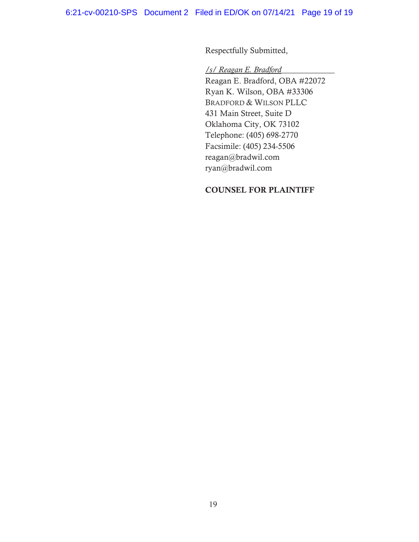Respectfully Submitted,

*/s/ Reagan E. Bradford*\_\_\_\_\_\_\_\_\_\_\_\_\_

 Reagan E. Bradford, OBA #22072 Ryan K. Wilson, OBA #33306 BRADFORD & WILSON PLLC 431 Main Street, Suite D Oklahoma City, OK 73102 Telephone: (405) 698-2770 Facsimile: (405) 234-5506 reagan@bradwil.com ryan@bradwil.com

## COUNSEL FOR PLAINTIFF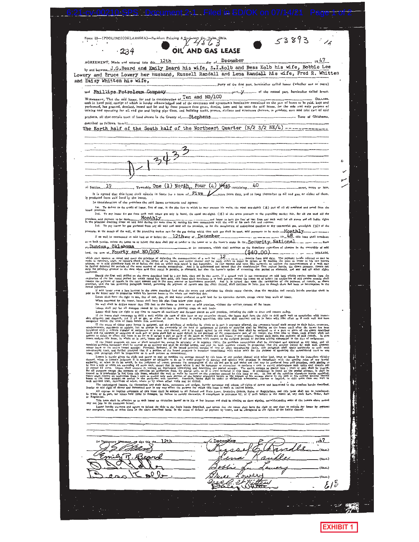| (POOLING)(OKLAHOMA)---Purkhart Printing & Stationery Co.<br>53893                                                                                                                                                                                                                                                                                                                                                                                                                                                                                               |  |
|-----------------------------------------------------------------------------------------------------------------------------------------------------------------------------------------------------------------------------------------------------------------------------------------------------------------------------------------------------------------------------------------------------------------------------------------------------------------------------------------------------------------------------------------------------------------|--|
| OIL AND GAS LEASE<br>2.34                                                                                                                                                                                                                                                                                                                                                                                                                                                                                                                                       |  |
| December                                                                                                                                                                                                                                                                                                                                                                                                                                                                                                                                                        |  |
| AGREEMENT, Made and entered into this12th<br>by and between. J.G. Beard and Emily Beard his wife, S.I.Kolb and Bess Kolb his wife, Bobbie Lee                                                                                                                                                                                                                                                                                                                                                                                                                   |  |
| Lowery and Bruce Lowery her husband, Russell Randall and Lena Randall his wife, Fred R. Whitten<br>and Daisy Whitten his wife,                                                                                                                                                                                                                                                                                                                                                                                                                                  |  |
|                                                                                                                                                                                                                                                                                                                                                                                                                                                                                                                                                                 |  |
| and Phillips Petroleum Company<br>WITNESSETH, That the said lessor, for and in consideration of $\overline{T}$ en and NO/100<br>DOLLARS.                                                                                                                                                                                                                                                                                                                                                                                                                        |  |
| cash in hand paid, receipt of which is hereby acknowledged and of the covenants and agreements hereinafter contained on the part of lessee to be paid, kept and<br>performed, has granted, demised, leased and let and by these presents does grant, demise, icase and let unto the said leasee, for the sole and only purpose of<br>mining and operating for oil and gas and laying pipe-lines, and building tanks, powers, stations and structures thereon, to produce, save and take care of said                                                            |  |
| products, all that certain tract of land situate in the County of  Stephens                                                                                                                                                                                                                                                                                                                                                                                                                                                                                     |  |
| The North half of the South half of the Northeast Quarter $(N/2 S/2 NE/4)$ -----                                                                                                                                                                                                                                                                                                                                                                                                                                                                                |  |
|                                                                                                                                                                                                                                                                                                                                                                                                                                                                                                                                                                 |  |
|                                                                                                                                                                                                                                                                                                                                                                                                                                                                                                                                                                 |  |
|                                                                                                                                                                                                                                                                                                                                                                                                                                                                                                                                                                 |  |
|                                                                                                                                                                                                                                                                                                                                                                                                                                                                                                                                                                 |  |
|                                                                                                                                                                                                                                                                                                                                                                                                                                                                                                                                                                 |  |
| of Section19 Township One $(1)$ North, Four $(4)$ West containing $40$                                                                                                                                                                                                                                                                                                                                                                                                                                                                                          |  |
| is produced from said land by the lessee.                                                                                                                                                                                                                                                                                                                                                                                                                                                                                                                       |  |
| In consideration of the premises the said Inssee covenants and agrees:<br>Ist. To deliver to the credit of lessor, free of cost, in the pipe line to which he may connect his wells, the equal one-eighth (16) part of all oil produced and saved from the                                                                                                                                                                                                                                                                                                      |  |
| leased premises.<br>2nd. To pay lessor for gas from each well where gas only is found, the equal one-eighth (%) of the gross proceeds at the prevailing market rate, for all gas used off the<br>Monthly                                                                                                                                                                                                                                                                                                                                                        |  |
| premises, said payment to be mode-<br>3rd. To pay leasor for gas produced from any oil well and used off the premises, or for the manufacture of casing-head gasoline or dry commercial gas, one-eighth (%) of the                                                                                                                                                                                                                                                                                                                                              |  |
| proceeds, at the mouth of the well, at the prevalling market rate for the gas during which time such gas shall be used, said payments to be made __Monthly<br>If no well be commenced on said land on or before the  12th seay of December                                                                                                                                                                                                                                                                                                                      |  |
| Duncan, Oklahoma<br>or its coccessors, which shall continue as the depository regardless of changes in the ownership of said                                                                                                                                                                                                                                                                                                                                                                                                                                    |  |
| tand, the sum of Fourty and NO/100<br>(\$40.00)<br>which shall operate as rental and cover the privilege of deferring the commententing of a well for $\Omega$                                                                                                                                                                                                                                                                                                                                                                                                  |  |
| months from said date. The payment herein referred to may be<br>made in currency, draft, or leasers check af the posted of the fessee, and cender thereof mar be ended the red on the posted in the last base to lesser to lesser to lesser to lesser to lesser to lesser to lesser to lesser<br>only the privilege granted to the date when said first rental is payable, as aforesaid, but also the lessee's option of extending that period as aforesaid, and any and all other rights<br>canferred.                                                         |  |
| Should the first well delike on the shore described land he ady hole, then and in the total should the first of the team and the the state of the task with the state which the state of the first well and the state of the f                                                                                                                                                                                                                                                                                                                                  |  |
| rental payments.<br>If said lessor owns a less interest in the above described land than the entire and undivided fee simple estate therein, then the royalties and rentals herein provided shall be<br>paid to the lessor only in proportion which his interest bears to the whole and undivided fee.                                                                                                                                                                                                                                                          |  |
| Lessee shall have the right to use, free of cost, gas, oil and water produced on asid land for its operation thereon, except water from wells of lesser.<br>When requested by the lessor, lessee shall bury his pipe lines below plow depth.<br>No well shall be drilled nearer than 200 feet to the house or barn now on said premises, without the written consent of the lessor.                                                                                                                                                                             |  |
| Lessee shall pay for all damages caused by its operations to growing crops on said lands.<br>Lessee shall have the right at any time to remove all machinery and Hatures pieced on asid premism, including the right to draw and remove easing.                                                                                                                                                                                                                                                                                                                 |  |
| If the lessoc shall commence to drill a well within the term of this lesse or ony extension thereof, the lessoc shall have the right to thill such well to compictles with reason-<br>able diigence and ofspatch, and if oil or g<br>completed within the term of years herein first mentioned.                                                                                                                                                                                                                                                                 |  |
| summer that we have been assumed and the printer of states in what or in our is expected by the consents here in the state of the state of the state of the state of the state of the state of the state of the state of the s                                                                                                                                                                                                                                                                                                                                  |  |
| it the lessed premises are now or shall hereafter be, owned in actuality or in segarate inc. the premises specified system is detectioned and aperator and all increased as an experienced as an experienced as a matter of e                                                                                                                                                                                                                                                                                                                                   |  |
| non-busting tract, and further proteed that if a portion of the Leaged promises is becoming the consolidated with other lands for the purpose of operating the consolidated tract as one<br>Lease, this paragraph shall be Inoper                                                                                                                                                                                                                                                                                                                               |  |
| Lessee is hereby given the sight and power to pool or combine the acreage covered by this lesse or any portion thereof with other land, lease or lesses in the immediate vicinity<br>thereof, when in lesses's judgment it is necessary or advisable to do so in arder properly to develop and operate stid premises in compliance with the appeling rules of any lawful<br>suthority, or when to do so weuld, in the judgment of lessee, promote the conservation of the oil and gas in and under and that may be produced from said premises, such pooling to |  |
| to access 43 archive from the second to the contract of the contract of the second of the second of the second to the second to the second to the second of the second of the second of the second of the second of the second                                                                                                                                                                                                                                                                                                                                  |  |
| The undersigned lessors, for themselves and their heirs, successors and assigns, hereby surrender and release all'rights of dower and homestend in the premises herein described,                                                                                                                                                                                                                                                                                                                                                                               |  |
| Insofar as said right of dower and homestead may in any way affect the purpose for which this lease is made as recited herein.<br>All express or implied covenants of this lesse shall be subject to all Federal and State Laws, Execulve Orders, Rules or Regulations, and this lesse shall not be terminated, and the lesse shall not be terminated, in whole                                                                                                                                                                                                 |  |
| or Regulation.<br>This lease shall be effective as to each lessor on execution hereof as to his or her interest and shall be binding on those signing, notwithstanding some of the lessors above named<br>may not join in the execution hereof.                                                                                                                                                                                                                                                                                                                 |  |
| Lessor hereby warrants and agrees to defend the tille to the lands herein described, and agrees that the lessoe shall have the right at saw time to refeem for lessor by payment in the looker the control of classic and the                                                                                                                                                                                                                                                                                                                                   |  |
|                                                                                                                                                                                                                                                                                                                                                                                                                                                                                                                                                                 |  |
|                                                                                                                                                                                                                                                                                                                                                                                                                                                                                                                                                                 |  |
| 12th<br>Decem                                                                                                                                                                                                                                                                                                                                                                                                                                                                                                                                                   |  |
|                                                                                                                                                                                                                                                                                                                                                                                                                                                                                                                                                                 |  |
| (SRAL)                                                                                                                                                                                                                                                                                                                                                                                                                                                                                                                                                          |  |
|                                                                                                                                                                                                                                                                                                                                                                                                                                                                                                                                                                 |  |
| (SAL)                                                                                                                                                                                                                                                                                                                                                                                                                                                                                                                                                           |  |
|                                                                                                                                                                                                                                                                                                                                                                                                                                                                                                                                                                 |  |
|                                                                                                                                                                                                                                                                                                                                                                                                                                                                                                                                                                 |  |

 $\mathcal{L}_{\text{max}}$  and  $\mathcal{L}_{\text{max}}$